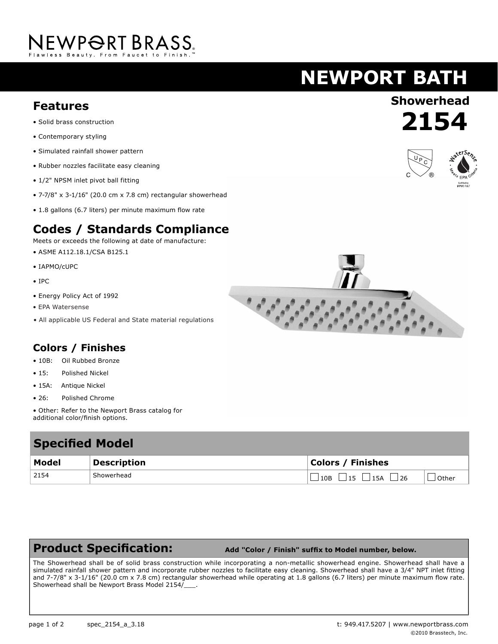# NEWPORT BRASS.

## **NEWPORT BATH**

### **Showerhead Features**

- Solid brass construction
- Contemporary styling
- Simulated rainfall shower pattern
- Rubber nozzles facilitate easy cleaning
- 1/2" NPSM inlet pivot ball fitting
- 7-7/8" x 3-1/16" (20.0 cm x 7.8 cm) rectangular showerhead
- 1.8 gallons (6.7 liters) per minute maximum flow rate

#### **Codes / Standards Compliance**

Meets or exceeds the following at date of manufacture:

- ASME A112.18.1/CSA B125.1
- IAPMO/cUPC
- IPC
- Energy Policy Act of 1992
- EPA Watersense
- All applicable US Federal and State material regulations

#### **Colors / Finishes**

- 10B: Oil Rubbed Bronze
- 15: Polished Nickel • 15A: Antique Nickel
- 26: Polished Chrome
- Other: Refer to the Newport Brass catalog for additional color/finish options.

| <b>Specified Model</b> |                    |                                                        |
|------------------------|--------------------|--------------------------------------------------------|
| Model                  | <b>Description</b> | <b>Colors / Finishes</b>                               |
| 2154                   | Showerhead         | $\Box$ 10B $\Box$ 15 $\Box$ 15A $\Box$ 26<br>. l Other |

#### **Product Specification:**

 **Add "Color / Finish" suffix to Model number, below.**

The Showerhead shall be of solid brass construction while incorporating a non-metallic showerhead engine. Showerhead shall have a simulated rainfall shower pattern and incorporate rubber nozzles to facilitate easy cleaning. Showerhead shall have a 3/4" NPT inlet fitting and 7-7/8" x 3-1/16" (20.0 cm x 7.8 cm) rectangular showerhead while operating at 1.8 gallons (6.7 liters) per minute maximum flow rate. Showerhead shall be Newport Brass Model 2154/\_\_\_.